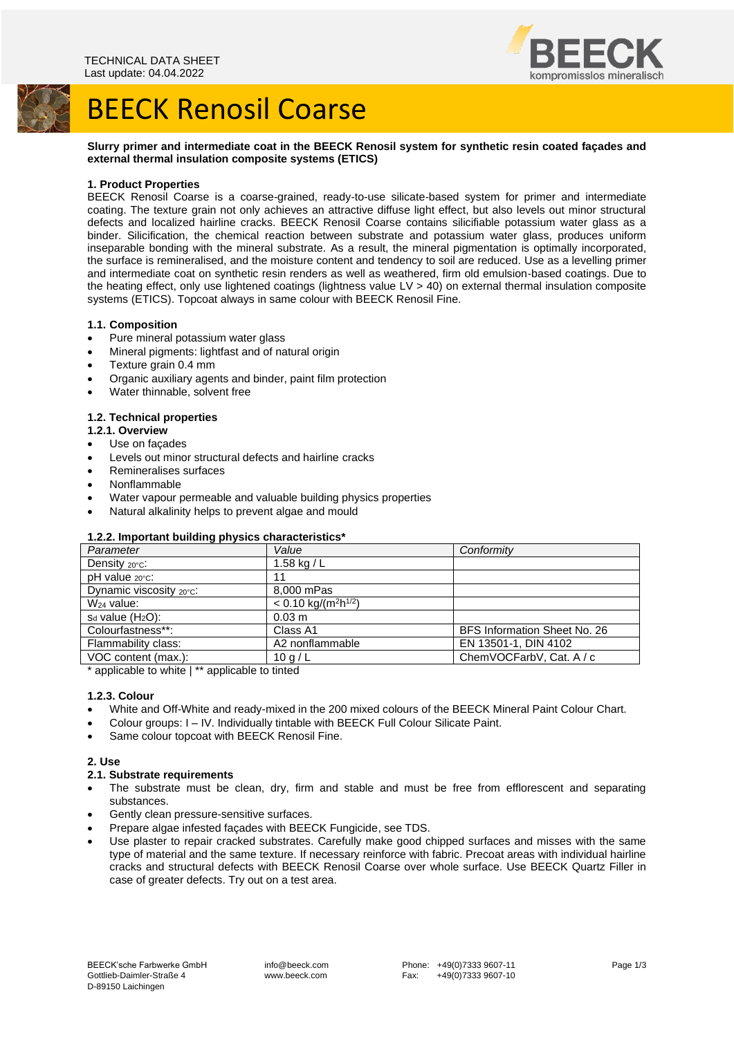



# BEECK Renosil Coarse

## **Slurry primer and intermediate coat in the BEECK Renosil system for synthetic resin coated façades and external thermal insulation composite systems (ETICS)**

## **1. Product Properties**

BEECK Renosil Coarse is a coarse-grained, ready-to-use silicate-based system for primer and intermediate coating. The texture grain not only achieves an attractive diffuse light effect, but also levels out minor structural defects and localized hairline cracks. BEECK Renosil Coarse contains silicifiable potassium water glass as a binder. Silicification, the chemical reaction between substrate and potassium water glass, produces uniform inseparable bonding with the mineral substrate. As a result, the mineral pigmentation is optimally incorporated, the surface is remineralised, and the moisture content and tendency to soil are reduced. Use as a levelling primer and intermediate coat on synthetic resin renders as well as weathered, firm old emulsion-based coatings. Due to the heating effect, only use lightened coatings (lightness value LV > 40) on external thermal insulation composite systems (ETICS). Topcoat always in same colour with BEECK Renosil Fine.

## **1.1. Composition**

- Pure mineral potassium water glass
- Mineral pigments: lightfast and of natural origin
- Texture grain 0.4 mm
- Organic auxiliary agents and binder, paint film protection
- Water thinnable, solvent free

## **1.2. Technical properties**

- **1.2.1. Overview**
- Use on façades
- Levels out minor structural defects and hairline cracks
- Remineralises surfaces
- Nonflammable
- Water vapour permeable and valuable building physics properties
- Natural alkalinity helps to prevent algae and mould

## **1.2.2. Important building physics characteristics\***

| . .<br>Parameter        | Value                                          | Conformity                   |
|-------------------------|------------------------------------------------|------------------------------|
| Density 20°C.           | 1.58 kg / $L$                                  |                              |
| pH value 20°C:          | 11                                             |                              |
| Dynamic viscosity 20°C: | 8,000 mPas                                     |                              |
| $W24$ value:            | $< 0.10$ kg/(m <sup>2</sup> h <sup>1/2</sup> ) |                              |
| $s_d$ value $(H_2O)$ :  | $0.03 \; m$                                    |                              |
| Colourfastness**:       | Class A1                                       | BFS Information Sheet No. 26 |
| Flammability class:     | A2 nonflammable                                | EN 13501-1, DIN 4102         |
| VOC content (max.):     | 10q/L                                          | ChemVOCFarbV, Cat. A / c     |

\* applicable to white | \*\* applicable to tinted

## **1.2.3. Colour**

- White and Off-White and ready-mixed in the 200 mixed colours of the BEECK Mineral Paint Colour Chart.
- Colour groups: I IV. Individually tintable with BEECK Full Colour Silicate Paint.
- Same colour topcoat with BEECK Renosil Fine.

## **2. Use**

#### **2.1. Substrate requirements**

- The substrate must be clean, dry, firm and stable and must be free from efflorescent and separating substances.
- Gently clean pressure-sensitive surfaces.
- Prepare algae infested façades with BEECK Fungicide, see TDS.
- Use plaster to repair cracked substrates. Carefully make good chipped surfaces and misses with the same type of material and the same texture. If necessary reinforce with fabric. Precoat areas with individual hairline cracks and structural defects with BEECK Renosil Coarse over whole surface. Use BEECK Quartz Filler in case of greater defects. Try out on a test area.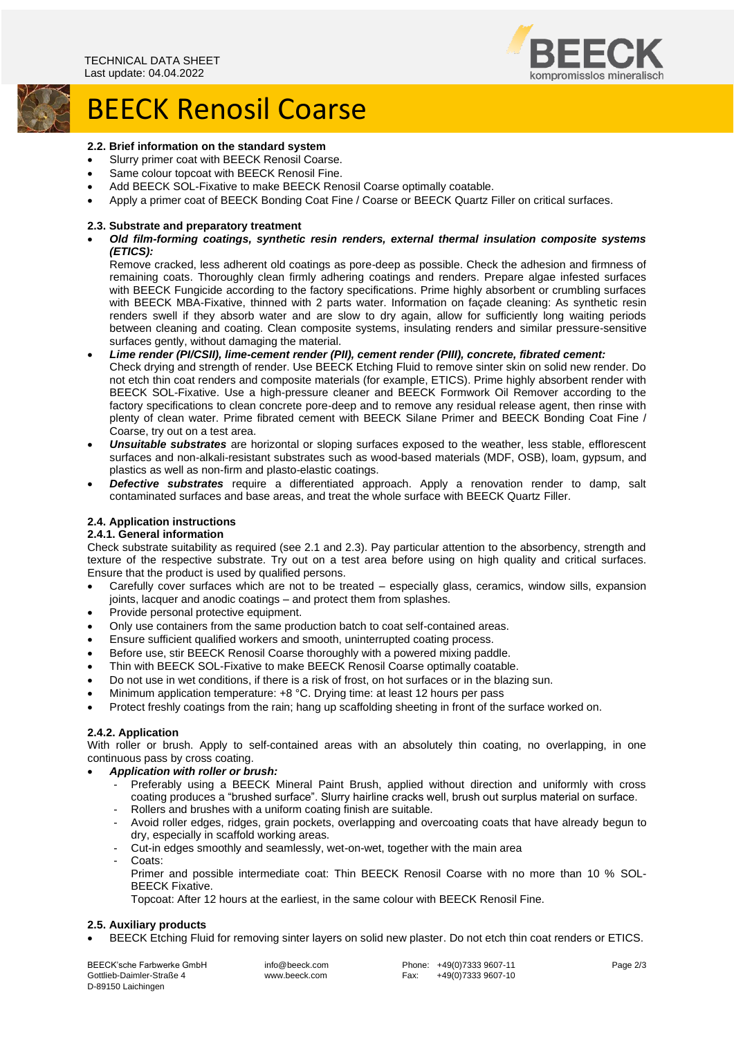

## BEECK Renosil Coarse

## **2.2. Brief information on the standard system**

- Slurry primer coat with BEECK Renosil Coarse.
- Same colour topcoat with BEECK Renosil Fine.
- Add BEECK SOL-Fixative to make BEECK Renosil Coarse optimally coatable.
- Apply a primer coat of BEECK Bonding Coat Fine / Coarse or BEECK Quartz Filler on critical surfaces.

#### **2.3. Substrate and preparatory treatment**

• *Old film-forming coatings, synthetic resin renders, external thermal insulation composite systems (ETICS):*

Remove cracked, less adherent old coatings as pore-deep as possible. Check the adhesion and firmness of remaining coats. Thoroughly clean firmly adhering coatings and renders. Prepare algae infested surfaces with BEECK Fungicide according to the factory specifications. Prime highly absorbent or crumbling surfaces with BEECK MBA-Fixative, thinned with 2 parts water. Information on façade cleaning: As synthetic resin renders swell if they absorb water and are slow to dry again, allow for sufficiently long waiting periods between cleaning and coating. Clean composite systems, insulating renders and similar pressure-sensitive surfaces gently, without damaging the material.

- *Lime render (PI/CSII), lime-cement render (PII), cement render (PIII), concrete, fibrated cement:* Check drying and strength of render. Use BEECK Etching Fluid to remove sinter skin on solid new render. Do not etch thin coat renders and composite materials (for example, ETICS). Prime highly absorbent render with BEECK SOL-Fixative. Use a high-pressure cleaner and BEECK Formwork Oil Remover according to the factory specifications to clean concrete pore-deep and to remove any residual release agent, then rinse with plenty of clean water. Prime fibrated cement with BEECK Silane Primer and BEECK Bonding Coat Fine / Coarse, try out on a test area.
- *Unsuitable substrates* are horizontal or sloping surfaces exposed to the weather, less stable, efflorescent surfaces and non-alkali-resistant substrates such as wood-based materials (MDF, OSB), loam, gypsum, and plastics as well as non-firm and plasto-elastic coatings.
- *Defective substrates* require a differentiated approach. Apply a renovation render to damp, salt contaminated surfaces and base areas, and treat the whole surface with BEECK Quartz Filler.

## **2.4. Application instructions**

#### **2.4.1. General information**

Check substrate suitability as required (see 2.1 and 2.3). Pay particular attention to the absorbency, strength and texture of the respective substrate. Try out on a test area before using on high quality and critical surfaces. Ensure that the product is used by qualified persons.

- Carefully cover surfaces which are not to be treated especially glass, ceramics, window sills, expansion joints, lacquer and anodic coatings – and protect them from splashes.
- Provide personal protective equipment.
- Only use containers from the same production batch to coat self-contained areas.
- Ensure sufficient qualified workers and smooth, uninterrupted coating process.
- Before use, stir BEECK Renosil Coarse thoroughly with a powered mixing paddle.
- Thin with BEECK SOL-Fixative to make BEECK Renosil Coarse optimally coatable.
- Do not use in wet conditions, if there is a risk of frost, on hot surfaces or in the blazing sun.
- Minimum application temperature: +8 °C. Drying time: at least 12 hours per pass
- Protect freshly coatings from the rain; hang up scaffolding sheeting in front of the surface worked on.

#### **2.4.2. Application**

With roller or brush. Apply to self-contained areas with an absolutely thin coating, no overlapping, in one continuous pass by cross coating.

- *Application with roller or brush:*
	- Preferably using a BEECK Mineral Paint Brush, applied without direction and uniformly with cross coating produces a "brushed surface". Slurry hairline cracks well, brush out surplus material on surface.
	- Rollers and brushes with a uniform coating finish are suitable.
	- Avoid roller edges, ridges, grain pockets, overlapping and overcoating coats that have already begun to dry, especially in scaffold working areas.
	- Cut-in edges smoothly and seamlessly, wet-on-wet, together with the main area
	- Coats:
		- Primer and possible intermediate coat: Thin BEECK Renosil Coarse with no more than 10 % SOL-BEECK Fixative.

Topcoat: After 12 hours at the earliest, in the same colour with BEECK Renosil Fine.

#### **2.5. Auxiliary products**

• BEECK Etching Fluid for removing sinter layers on solid new plaster. Do not etch thin coat renders or ETICS.